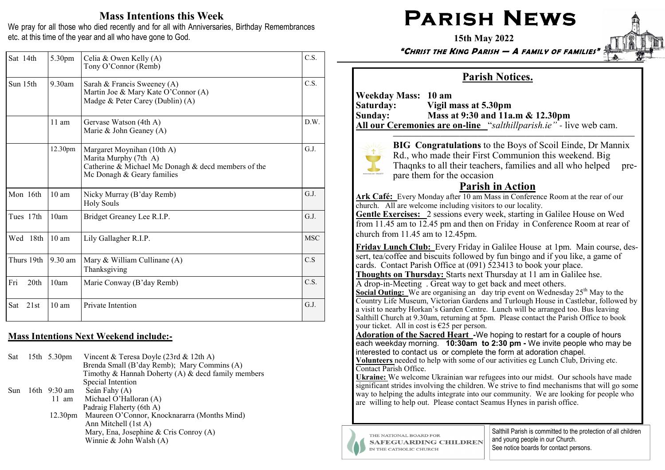## Mass Intentions this Week

 We pray for all those who died recently and for all with Anniversaries, Birthday Remembrances etc. at this time of the year and all who have gone to God.

| Sat 14th    | 5.30pm           | Celia & Owen Kelly (A)<br>Tony O'Connor (Remb)                                                                                           | C.S.       |
|-------------|------------------|------------------------------------------------------------------------------------------------------------------------------------------|------------|
| Sun 15th    | $9.30$ am        | Sarah & Francis Sweeney (A)<br>Martin Joe & Mary Kate O'Connor (A)<br>Madge & Peter Carey (Dublin) (A)                                   | C.S.       |
|             | $11 \text{ am}$  | Gervase Watson (4th A)<br>Marie & John Geaney $(A)$                                                                                      | D.W.       |
|             | 12.30pm          | Margaret Moynihan (10th A)<br>Marita Murphy (7th A)<br>Catherine & Michael Mc Donagh & decd members of the<br>Mc Donagh & Geary families | G.J.       |
| Mon 16th    | $10 \text{ am}$  | Nicky Murray (B'day Remb)<br><b>Holy Souls</b>                                                                                           | G.J.       |
| Tues 17th   | 10am             | Bridget Greaney Lee R.I.P.                                                                                                               | G.J.       |
| Wed 18th    | $10 \text{ am}$  | Lily Gallagher R.I.P.                                                                                                                    | <b>MSC</b> |
| Thurs 19th  | 9.30 am          | Mary & William Cullinane (A)<br>Thanksgiving                                                                                             | C.S        |
| Fri<br>20th | 10am             | Marie Conway (B'day Remb)                                                                                                                | C.S.       |
| 21st<br>Sat | 10 <sub>am</sub> | Private Intention                                                                                                                        | G.J.       |

## Mass Intentions Next Weekend include:**-**

Sat 15th 5.30pm Vincent & Teresa Doyle (23rd & 12th A) Brenda Small (B'day Remb); Mary Commins (A) Timothy & Hannah Doherty (A) & decd family members Special Intention Sun 16th 9:30 am Seán Fahy (A) 11 am Michael O'Halloran (A) Padraig Flaherty (6th A) 12.30pm Maureen O'Connor, Knocknararra (Months Mind) Ann Mitchell (1st A) Mary, Ena, Josephine & Cris Conroy (A)Winnie & John Walsh (A)

# $\mathsf{PARISH}\ \mathsf{N}\mathsf{EWS}$

15th May 2022

"CHRIST THE KING PARISH — A FAMILY OF FAMILIES"

## Parish Notices.

Weekday Mass: 10 am<br>Saturday: Vigil n Saturday: Vigil mass at 5.30pm Sunday: Mass at 9:30 and 11a.m & 12.30pm All our Ceremonies are on**-**line "salthillparish.ie" *-* live web cam.



 BIG Congratulations to the Boys of Scoil Einde, Dr Mannix Rd., who made their First Communion this weekend. Big Thaqnks to all their teachers, families and all who helped prepare them for the occasion

## Parish in Action

Ark Café: Every Monday after 10 am Mass in Conference Room at the rear of our church. All are welcome including visitors to our locality.

Gentle Exercises: 2 sessions every week, starting in Galilee House on Wed from 11.45 am to 12.45 pm and then on Friday in Conference Room at rear of church from 11.45 am to 12.45pm.

Friday Lunch Club: Every Friday in Galilee House at 1pm. Main course, dessert, tea/coffee and biscuits followed by fun bingo and if you like, a game ofcards. Contact Parish Office at (091) 523413 to book your place.

Thoughts on Thursday: Starts next Thursday at 11 am in Galilee hse. A drop-in-Meeting . Great way to get back and meet others.

Social Outing: We are organising an day trip event on Wednesday  $25<sup>th</sup>$  May to the Country Life Museum, Victorian Gardens and Turlough House in Castlebar, followed by a visit to nearby Horkan's Garden Centre. Lunch will be arranged too. Bus leaving Salthill Church at 9.30am, returning at 5pm. Please contact the Parish Office to book your ticket. All in cost is €25 per person.

 Adoration of the Sacred Heart **-**We hoping to restart for a couple of hours each weekday morning. 10:30am to 2:30 pm **-** We invite people who may be interested to contact us or complete the form at adoration chapel.

Volunteers needed to help with some of our activities eg Lunch Club, Driving etc. Contact Parish Office.

Ukraine: We welcome Ukrainian war refugees into our midst. Our schools have made significant strides involving the children. We strive to find mechanisms that will go some way to helping the adults integrate into our community. We are looking for people who are willing to help out. Please contact Seamus Hynes in parish office.



Salthill Parish is committed to the protection of all children and young people in our Church. See notice boards for contact persons.